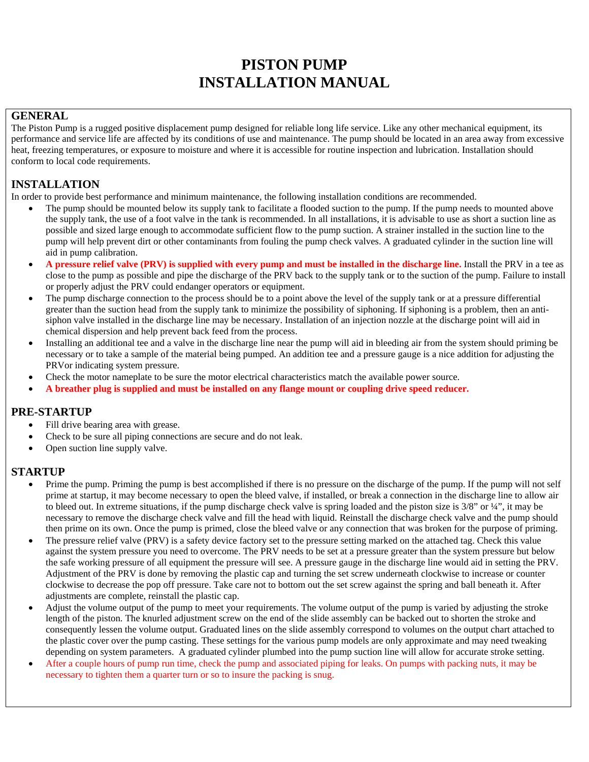# **PISTON PUMP INSTALLATION MANUAL**

#### **GENERAL**

The Piston Pump is a rugged positive displacement pump designed for reliable long life service. Like any other mechanical equipment, its performance and service life are affected by its conditions of use and maintenance. The pump should be located in an area away from excessive heat, freezing temperatures, or exposure to moisture and where it is accessible for routine inspection and lubrication. Installation should conform to local code requirements.

## **INSTALLATION**

In order to provide best performance and minimum maintenance, the following installation conditions are recommended.

- The pump should be mounted below its supply tank to facilitate a flooded suction to the pump. If the pump needs to mounted above the supply tank, the use of a foot valve in the tank is recommended. In all installations, it is advisable to use as short a suction line as possible and sized large enough to accommodate sufficient flow to the pump suction. A strainer installed in the suction line to the pump will help prevent dirt or other contaminants from fouling the pump check valves. A graduated cylinder in the suction line will aid in pump calibration.
- **A pressure relief valve (PRV) is supplied with every pump and must be installed in the discharge line.** Install the PRV in a tee as close to the pump as possible and pipe the discharge of the PRV back to the supply tank or to the suction of the pump. Failure to install or properly adjust the PRV could endanger operators or equipment.
- The pump discharge connection to the process should be to a point above the level of the supply tank or at a pressure differential greater than the suction head from the supply tank to minimize the possibility of siphoning. If siphoning is a problem, then an antisiphon valve installed in the discharge line may be necessary. Installation of an injection nozzle at the discharge point will aid in chemical dispersion and help prevent back feed from the process.
- Installing an additional tee and a valve in the discharge line near the pump will aid in bleeding air from the system should priming be necessary or to take a sample of the material being pumped. An addition tee and a pressure gauge is a nice addition for adjusting the PRVor indicating system pressure.
- Check the motor nameplate to be sure the motor electrical characteristics match the available power source.
- **A breather plug is supplied and must be installed on any flange mount or coupling drive speed reducer.**

#### **PRE-STARTUP**

- Fill drive bearing area with grease.
- Check to be sure all piping connections are secure and do not leak.
- Open suction line supply valve.

#### **STARTUP**

- Prime the pump. Priming the pump is best accomplished if there is no pressure on the discharge of the pump. If the pump will not self prime at startup, it may become necessary to open the bleed valve, if installed, or break a connection in the discharge line to allow air to bleed out. In extreme situations, if the pump discharge check valve is spring loaded and the piston size is 3/8" or ¼", it may be necessary to remove the discharge check valve and fill the head with liquid. Reinstall the discharge check valve and the pump should then prime on its own. Once the pump is primed, close the bleed valve or any connection that was broken for the purpose of priming.
- The pressure relief valve (PRV) is a safety device factory set to the pressure setting marked on the attached tag. Check this value against the system pressure you need to overcome. The PRV needs to be set at a pressure greater than the system pressure but below the safe working pressure of all equipment the pressure will see. A pressure gauge in the discharge line would aid in setting the PRV. Adjustment of the PRV is done by removing the plastic cap and turning the set screw underneath clockwise to increase or counter clockwise to decrease the pop off pressure. Take care not to bottom out the set screw against the spring and ball beneath it. After adjustments are complete, reinstall the plastic cap.
- Adjust the volume output of the pump to meet your requirements. The volume output of the pump is varied by adjusting the stroke length of the piston. The knurled adjustment screw on the end of the slide assembly can be backed out to shorten the stroke and consequently lessen the volume output. Graduated lines on the slide assembly correspond to volumes on the output chart attached to the plastic cover over the pump casting. These settings for the various pump models are only approximate and may need tweaking depending on system parameters. A graduated cylinder plumbed into the pump suction line will allow for accurate stroke setting.
- After a couple hours of pump run time, check the pump and associated piping for leaks. On pumps with packing nuts, it may be necessary to tighten them a quarter turn or so to insure the packing is snug.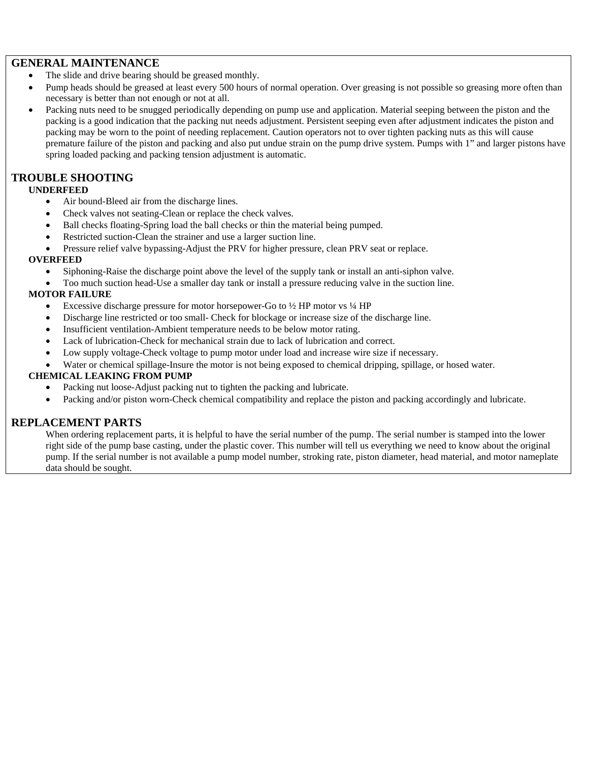#### **GENERAL MAINTENANCE**

- The slide and drive bearing should be greased monthly.
- Pump heads should be greased at least every 500 hours of normal operation. Over greasing is not possible so greasing more often than necessary is better than not enough or not at all.
- Packing nuts need to be snugged periodically depending on pump use and application. Material seeping between the piston and the packing is a good indication that the packing nut needs adjustment. Persistent seeping even after adjustment indicates the piston and packing may be worn to the point of needing replacement. Caution operators not to over tighten packing nuts as this will cause premature failure of the piston and packing and also put undue strain on the pump drive system. Pumps with 1" and larger pistons have spring loaded packing and packing tension adjustment is automatic.

### **TROUBLE SHOOTING**

#### **UNDERFEED**

- Air bound-Bleed air from the discharge lines.
- Check valves not seating-Clean or replace the check valves.
- Ball checks floating-Spring load the ball checks or thin the material being pumped.
- Restricted suction-Clean the strainer and use a larger suction line.
- Pressure relief valve bypassing-Adjust the PRV for higher pressure, clean PRV seat or replace.

#### **OVERFEED**

- Siphoning-Raise the discharge point above the level of the supply tank or install an anti-siphon valve.
- Too much suction head-Use a smaller day tank or install a pressure reducing valve in the suction line.

#### **MOTOR FAILURE**

- Excessive discharge pressure for motor horsepower-Go to  $\frac{1}{2}$  HP motor vs  $\frac{1}{4}$  HP
- Discharge line restricted or too small- Check for blockage or increase size of the discharge line.
- Insufficient ventilation-Ambient temperature needs to be below motor rating.
- Lack of lubrication-Check for mechanical strain due to lack of lubrication and correct.
- Low supply voltage-Check voltage to pump motor under load and increase wire size if necessary.
- Water or chemical spillage-Insure the motor is not being exposed to chemical dripping, spillage, or hosed water.

#### **CHEMICAL LEAKING FROM PUMP**

- Packing nut loose-Adjust packing nut to tighten the packing and lubricate.
- Packing and/or piston worn-Check chemical compatibility and replace the piston and packing accordingly and lubricate.

#### **REPLACEMENT PARTS**

When ordering replacement parts, it is helpful to have the serial number of the pump. The serial number is stamped into the lower right side of the pump base casting, under the plastic cover. This number will tell us everything we need to know about the original pump. If the serial number is not available a pump model number, stroking rate, piston diameter, head material, and motor nameplate data should be sought.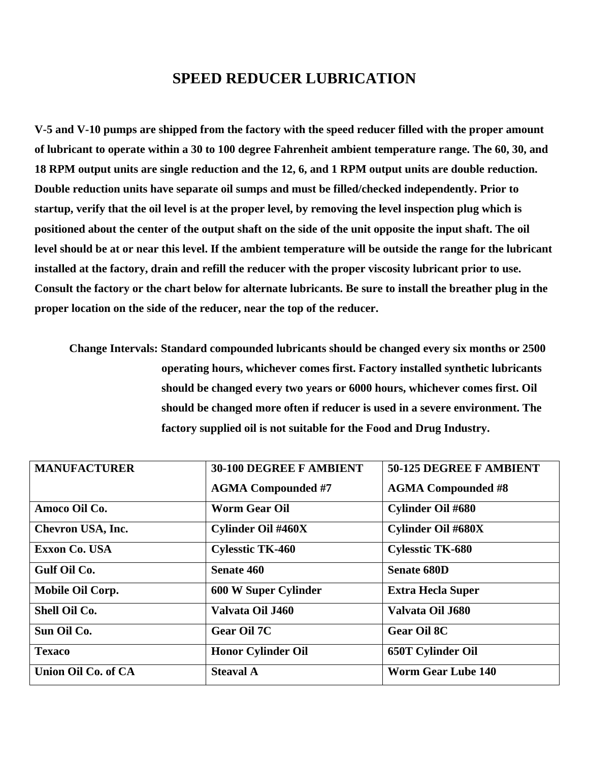## **SPEED REDUCER LUBRICATION**

**V-5 and V-10 pumps are shipped from the factory with the speed reducer filled with the proper amount of lubricant to operate within a 30 to 100 degree Fahrenheit ambient temperature range. The 60, 30, and 18 RPM output units are single reduction and the 12, 6, and 1 RPM output units are double reduction. Double reduction units have separate oil sumps and must be filled/checked independently. Prior to startup, verify that the oil level is at the proper level, by removing the level inspection plug which is positioned about the center of the output shaft on the side of the unit opposite the input shaft. The oil level should be at or near this level. If the ambient temperature will be outside the range for the lubricant installed at the factory, drain and refill the reducer with the proper viscosity lubricant prior to use. Consult the factory or the chart below for alternate lubricants. Be sure to install the breather plug in the proper location on the side of the reducer, near the top of the reducer.** 

**Change Intervals: Standard compounded lubricants should be changed every six months or 2500 operating hours, whichever comes first. Factory installed synthetic lubricants should be changed every two years or 6000 hours, whichever comes first. Oil should be changed more often if reducer is used in a severe environment. The factory supplied oil is not suitable for the Food and Drug Industry.** 

| <b>MANUFACTURER</b>  | <b>30-100 DEGREE F AMBIENT</b> | 50-125 DEGREE F AMBIENT   |
|----------------------|--------------------------------|---------------------------|
|                      | <b>AGMA Compounded #7</b>      | <b>AGMA Compounded #8</b> |
| Amoco Oil Co.        | <b>Worm Gear Oil</b>           | <b>Cylinder Oil #680</b>  |
| Chevron USA, Inc.    | <b>Cylinder Oil #460X</b>      | <b>Cylinder Oil #680X</b> |
| <b>Exxon Co. USA</b> | <b>Cylesstic TK-460</b>        | <b>Cylesstic TK-680</b>   |
| Gulf Oil Co.         | Senate 460                     | <b>Senate 680D</b>        |
| Mobile Oil Corp.     | <b>600 W Super Cylinder</b>    | <b>Extra Hecla Super</b>  |
| Shell Oil Co.        | Valvata Oil J460               | Valvata Oil J680          |
| Sun Oil Co.          | <b>Gear Oil 7C</b>             | <b>Gear Oil 8C</b>        |
| <b>Texaco</b>        | <b>Honor Cylinder Oil</b>      | <b>650T Cylinder Oil</b>  |
| Union Oil Co. of CA  | <b>Steaval A</b>               | <b>Worm Gear Lube 140</b> |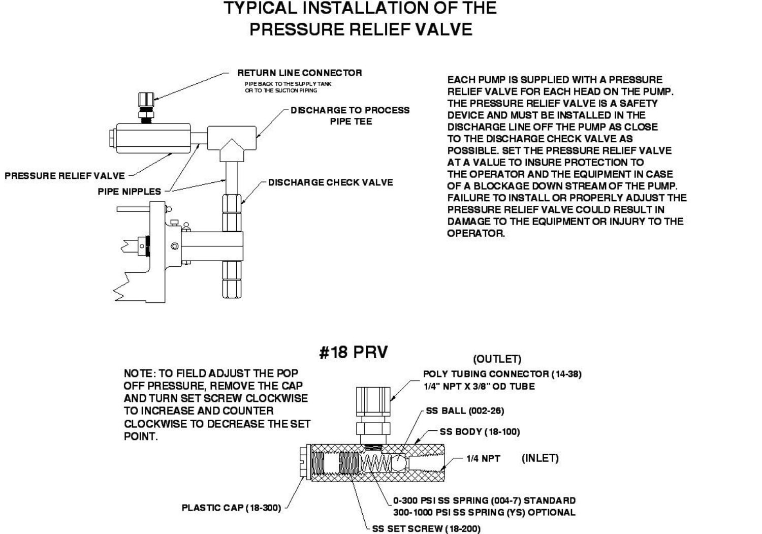# **TYPICAL INSTALLATION OF THE** PRESSURE RELIEF VALVE



EACH PUMP IS SUPPLIED WITH A PRESSURE RELIEF VALVE FOR EACH HEAD ON THE PUMP. THE PRESSURE RELIEF VALVE IS A SAFETY DEVICE AND MUST BE INSTALLED IN THE DISCHARGE LINE OFF THE PUMP AS CLOSE TO THE DISCHARGE CHECK VALVE AS POSSIBLE. SET THE PRESSURE RELIEF VALVE AT A VALUE TO INSURE PROTECTION TO THE OPERATOR AND THE EQUIPMENT IN CASE OF A BLOCKAGE DOWN STREAM OF THE PUMP. FAILURE TO INSTALL OR PROPERLY ADJUST THE PRESSURE RELIEF VALVE COULD RESULT IN DAMAGE TO THE EQUIPMENT OR INJURY TO THE OPERATOR.